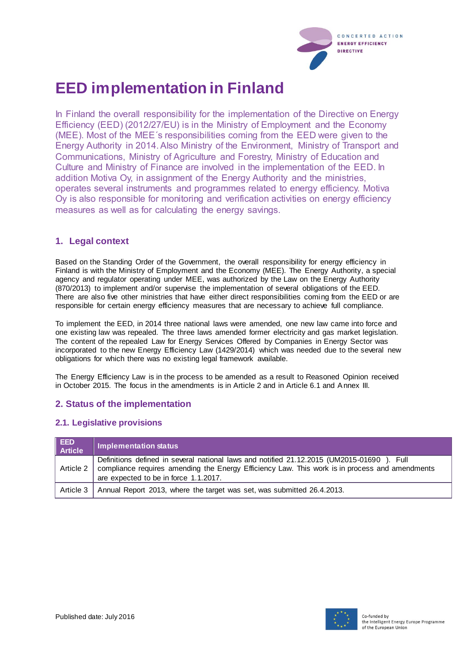

# **EED implementation in Finland**

In Finland the overall responsibility for the implementation of the Directive on Energy Efficiency (EED) (2012/27/EU) is in the Ministry of Employment and the Economy (MEE). Most of the MEE´s responsibilities coming from the EED were given to the Energy Authority in 2014. Also Ministry of the Environment, Ministry of Transport and Communications, Ministry of Agriculture and Forestry, Ministry of Education and Culture and Ministry of Finance are involved in the implementation of the EED. In addition Motiva Oy, in assignment of the Energy Authority and the ministries, operates several instruments and programmes related to energy efficiency. Motiva Oy is also responsible for monitoring and verification activities on energy efficiency measures as well as for calculating the energy savings.

## **1. Legal context**

Based on the Standing Order of the Government, the overall responsibility for energy efficiency in Finland is with the Ministry of Employment and the Economy (MEE). The Energy Authority, a special agency and regulator operating under MEE, was authorized by the Law on the Energy Authority (870/2013) to implement and/or supervise the implementation of several obligations of the EED. There are also five other ministries that have either direct responsibilities coming from the EED or are responsible for certain energy efficiency measures that are necessary to achieve full compliance.

To implement the EED, in 2014 three national laws were amended, one new law came into force and one existing law was repealed. The three laws amended former electricity and gas market legislation. The content of the repealed Law for Energy Services Offered by Companies in Energy Sector was incorporated to the new Energy Efficiency Law (1429/2014) which was needed due to the several new obligations for which there was no existing legal framework available.

The Energy Efficiency Law is in the process to be amended as a result to Reasoned Opinion received in October 2015. The focus in the amendments is in Article 2 and in Article 6.1 and Annex III.

## **2. Status of the implementation**

#### **2.1. Legislative provisions**

| <b>EED</b><br><b>Article</b> | Implementation status                                                                                                                                                                                                                            |
|------------------------------|--------------------------------------------------------------------------------------------------------------------------------------------------------------------------------------------------------------------------------------------------|
|                              | Definitions defined in several national laws and notified 21.12.2015 (UM2015-01690). Full<br>Article 2   compliance requires amending the Energy Efficiency Law. This work is in process and amendments<br>are expected to be in force 1.1.2017. |
|                              | Article 3   Annual Report 2013, where the target was set, was submitted 26.4.2013.                                                                                                                                                               |

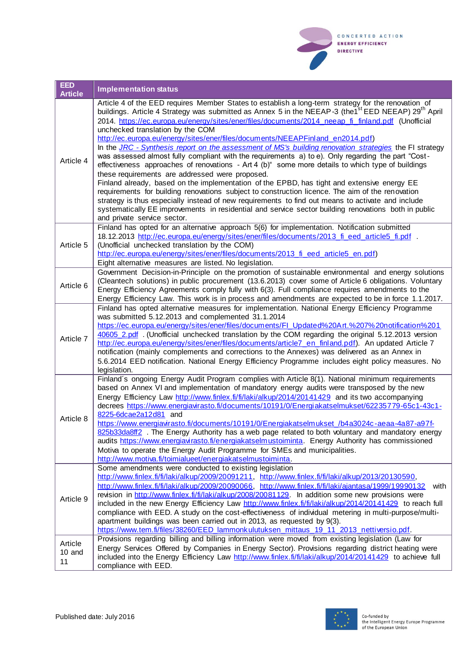

| <b>EED</b><br><b>Article</b> | <b>Implementation status</b>                                                                                                                                                                                                                                                                                                                                                                                                                                                                                                                                                                                                                                                                                                                                                                                                                                                                                                                                                                                                                                                                                                                                                                                                                                                          |
|------------------------------|---------------------------------------------------------------------------------------------------------------------------------------------------------------------------------------------------------------------------------------------------------------------------------------------------------------------------------------------------------------------------------------------------------------------------------------------------------------------------------------------------------------------------------------------------------------------------------------------------------------------------------------------------------------------------------------------------------------------------------------------------------------------------------------------------------------------------------------------------------------------------------------------------------------------------------------------------------------------------------------------------------------------------------------------------------------------------------------------------------------------------------------------------------------------------------------------------------------------------------------------------------------------------------------|
| Article 4                    | Article 4 of the EED requires Member States to establish a long-term strategy for the renovation of<br>buildings. Article 4 Strategy was submitted as Annex 5 in the NEEAP-3 (the1 <sup>st</sup> EED NEEAP) 29 <sup>th</sup> April<br>2014. https://ec.europa.eu/energy/sites/ener/files/documents/2014 neeap fi finland.pdf (Unofficial<br>unchecked translation by the COM<br>http://ec.europa.eu/energy/sites/ener/files/documents/NEEAPFinland en2014.pdf)<br>In the JRC - Synthesis report on the assessment of MS's building renovation strategies the FI strategy<br>was assessed almost fully compliant with the requirements a) to e). Only regarding the part "Cost-<br>effectiveness approaches of renovations - Art 4 (b)" some more details to which type of buildings<br>these requirements are addressed were proposed.<br>Finland already, based on the implementation of the EPBD, has tight and extensive energy EE<br>requirements for building renovations subject to construction licence. The aim of the renovation<br>strategy is thus especially instead of new requirements to find out means to activate and include<br>systematically EE improvements in residential and service sector building renovations both in public<br>and private service sector. |
| Article 5                    | Finland has opted for an alternative approach 5(6) for implementation. Notification submitted<br>18.12.2013 http://ec.europa.eu/energy/sites/ener/files/documents/2013 fi eed article5 fi.pdf.<br>(Unofficial unchecked translation by the COM)<br>http://ec.europa.eu/energy/sites/ener/files/documents/2013 fi eed article5 en.pdf)<br>Eight alternative measures are listed. No legislation.                                                                                                                                                                                                                                                                                                                                                                                                                                                                                                                                                                                                                                                                                                                                                                                                                                                                                       |
| Article 6                    | Government Decision-in-Principle on the promotion of sustainable environmental and energy solutions<br>(Cleantech solutions) in public procurement (13.6.2013) cover some of Article 6 obligations. Voluntary<br>Energy Efficiency Agreements comply fully with 6(3). Full compliance requires amendments to the<br>Energy Efficiency Law. This work is in process and amendments are expected to be in force 1.1.2017.                                                                                                                                                                                                                                                                                                                                                                                                                                                                                                                                                                                                                                                                                                                                                                                                                                                               |
| Article 7                    | Finland has opted alternative measures for implementation. National Energy Efficiency Programme<br>was submitted 5.12.2013 and complemented 31.1.2014<br>https://ec.europa.eu/energy/sites/ener/files/documents/FI_Updated%20Art.%207%20notification%201<br>40605 2.pdf. (Unofficial unchecked translation by the COM regarding the original 5.12.2013 version<br>http://ec.europa.eu/energy/sites/ener/files/documents/article7 en finland.pdf). An updated Article 7<br>notification (mainly complements and corrections to the Annexes) was delivered as an Annex in<br>5.6.2014 EED notification. National Energy Efficiency Programme includes eight policy measures. No<br>legislation.                                                                                                                                                                                                                                                                                                                                                                                                                                                                                                                                                                                         |
| Article 8                    | Finland's ongoing Energy Audit Program complies with Article 8(1). National minimum requirements<br>based on Annex VI and implementation of mandatory energy audits were transposed by the new<br>Energy Efficiency Law http://www.finlex.fi/fi/laki/alkup/2014/20141429 and its two accompanying<br>decrees https://www.energiavirasto.fi/documents/10191/0/Energiakatselmukset/62235779-65c1-43c1-<br>8225-6dcae2a12d81 and<br>https://www.energiavirasto.fi/documents/10191/0/Energiakatselmukset /b4a3024c-aeaa-4a87-a97f-<br>825b33da8ff2 . The Energy Authority has a web page related to both voluntary and mandatory energy<br>audits https://www.energiavirasto.fi/energiakatselmustoiminta. Energy Authority has commissioned<br>Motiva to operate the Energy Audit Programme for SMEs and municipalities.<br>http://www.motiva.fi/toimialueet/energiakatselmustoiminta.                                                                                                                                                                                                                                                                                                                                                                                                    |
| Article 9                    | Some amendments were conducted to existing legislation<br>http://www.finlex.fi/fi/laki/alkup/2009/20091211, http://www.finlex.fi/fi/laki/alkup/2013/20130590,<br>http://www.finlex.fi/fi/laki/alkup/2009/20090066, http://www.finlex.fi/fi/laki/ajantasa/1999/19990132<br>with<br>revision in http://www.finlex.fi/fi/laki/alkup/2008/20081129. In addition some new provisions were<br>included in the new Energy Efficiency Law http://www.finlex.fi/fi/laki/alkup/2014/20141429 to reach full<br>compliance with EED. A study on the cost-effectiveness of individual metering in multi-purpose/multi-<br>apartment buildings was been carried out in 2013, as requested by 9(3).<br>https://www.tem.fi/files/38260/EED lammonkulutuksen mittaus 19 11 2013 nettiversio.pdf.                                                                                                                                                                                                                                                                                                                                                                                                                                                                                                       |
| Article<br>10 and<br>11      | Provisions regarding billing and billing information were moved from existing legislation (Law for<br>Energy Services Offered by Companies in Energy Sector). Provisions regarding district heating were<br>included into the Energy Efficiency Law http://www.finlex.fi/fi/laki/alkup/2014/20141429 to achieve full<br>compliance with EED.                                                                                                                                                                                                                                                                                                                                                                                                                                                                                                                                                                                                                                                                                                                                                                                                                                                                                                                                          |

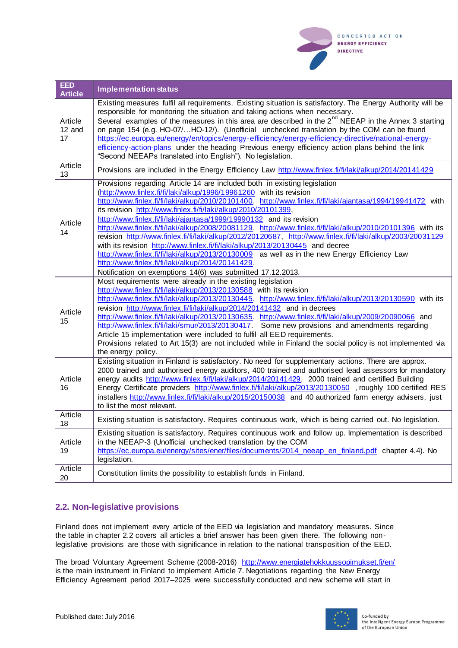

| <b>EED</b><br><b>Article</b> | <b>Implementation status</b>                                                                                                                                                                                                                                                                                                                                                                                                                                                                                                                                                                                                                                                                                                                                                                                                                                                                                                               |
|------------------------------|--------------------------------------------------------------------------------------------------------------------------------------------------------------------------------------------------------------------------------------------------------------------------------------------------------------------------------------------------------------------------------------------------------------------------------------------------------------------------------------------------------------------------------------------------------------------------------------------------------------------------------------------------------------------------------------------------------------------------------------------------------------------------------------------------------------------------------------------------------------------------------------------------------------------------------------------|
| Article<br>12 and<br>17      | Existing measures fulfil all requirements. Existing situation is satisfactory. The Energy Authority will be<br>responsible for monitoring the situation and taking actions when necessary.<br>Several examples of the measures in this area are described in the 2 <sup>nd</sup> NEEAP in the Annex 3 starting<br>on page 154 (e.g. HO-07/HO-12/). (Unofficial unchecked translation by the COM can be found<br>https://ec.europa.eu/energy/en/topics/energy-efficiency/energy-efficiency-directive/national-energy-<br>efficiency-action-plans under the heading Previous energy efficiency action plans behind the link<br>"Second NEEAPs translated into English"). No legislation.                                                                                                                                                                                                                                                     |
| Article<br>13                | Provisions are included in the Energy Efficiency Law http://www.finlex.fi/fi/laki/alkup/2014/20141429                                                                                                                                                                                                                                                                                                                                                                                                                                                                                                                                                                                                                                                                                                                                                                                                                                      |
| Article<br>14                | Provisions regarding Article 14 are included both in existing legislation<br>(http://www.finlex.fi/fi/laki/alkup/1996/19961260 with its revision<br>http://www.finlex.fi/fi/laki/alkup/2010/20101400, http://www.finlex.fi/fi/laki/ajantasa/1994/19941472 with<br>its revision http://www.finlex.fi/fi/laki/alkup/2010/20101399,<br>http://www.finlex.fi/fi/laki/ajantasa/1999/19990132 and its revision<br>http://www.finlex.fi/fi/laki/alkup/2008/20081129, http://www.finlex.fi/fi/laki/alkup/2010/20101396 with its<br>revision http://www.finlex.fi/fi/laki/alkup/2012/20120687, http://www.finlex.fi/fi/laki/alkup/2003/20031129<br>with its revision http://www.finlex.fi/fi/laki/alkup/2013/20130445 and decree<br>http://www.finlex.fi/fi/laki/alkup/2013/20130009 as well as in the new Energy Efficiency Law<br>http://www.finlex.fi/fi/laki/alkup/2014/20141429.<br>Notification on exemptions 14(6) was submitted 17.12.2013. |
| Article<br>15                | Most requirements were already in the existing legislation<br>http://www.finlex.fi/fi/laki/alkup/2013/20130588 with its revision<br>http://www.finlex.fi/fi/laki/alkup/2013/20130445, http://www.finlex.fi/fi/laki/alkup/2013/20130590 with its<br>revision http://www.finlex.fi/fi/laki/alkup/2014/20141432 and in decrees<br>http://www.finlex.fi/fi/laki/alkup/2013/20130635, http://www.finlex.fi/fi/laki/alkup/2009/20090066 and<br>http://www.finlex.fi/fi/laki/smur/2013/20130417. Some new provisions and amendments regarding<br>Article 15 implementation were included to fulfil all EED requirements.<br>Provisions related to Art 15(3) are not included while in Finland the social policy is not implemented via<br>the energy policy.                                                                                                                                                                                      |
| Article<br>16                | Existing situation in Finland is satisfactory. No need for supplementary actions. There are approx.<br>2000 trained and authorised energy auditors, 400 trained and authorised lead assessors for mandatory<br>energy audits http://www.finlex.fi/fi/laki/alkup/2014/20141429, 2000 trained and certified Building<br>Energy Certificate providers http://www.finlex.fi/fi/laki/alkup/2013/20130050, roughly 100 certified RES<br>installers http://www.finlex.fi/fi/laki/alkup/2015/20150038 and 40 authorized farm energy advisers, just<br>to list the most relevant.                                                                                                                                                                                                                                                                                                                                                                   |
| Article<br>18                | Existing situation is satisfactory. Requires continuous work, which is being carried out. No legislation.                                                                                                                                                                                                                                                                                                                                                                                                                                                                                                                                                                                                                                                                                                                                                                                                                                  |
| Article<br>19                | Existing situation is satisfactory. Requires continuous work and follow up. Implementation is described<br>in the NEEAP-3 (Unofficial unchecked translation by the COM<br>https://ec.europa.eu/energy/sites/ener/files/documents/2014 neeap en finland.pdf chapter 4.4). No<br>legislation.                                                                                                                                                                                                                                                                                                                                                                                                                                                                                                                                                                                                                                                |
| Article<br>20                | Constitution limits the possibility to establish funds in Finland.                                                                                                                                                                                                                                                                                                                                                                                                                                                                                                                                                                                                                                                                                                                                                                                                                                                                         |

## **2.2. Non-legislative provisions**

Finland does not implement every article of the EED via legislation and mandatory measures. Since the table in chapter 2.2 covers all articles a brief answer has been given there. The following nonlegislative provisions are those with significance in relation to the national transposition of the EED.

The broad Voluntary Agreement Scheme (2008-2016) http://www.energiatehokkuussopimukset.fi/en/ is the main instrument in Finland to implement Article 7. Negotiations regarding the New Energy Efficiency Agreement period 2017–2025 were successfully conducted and new scheme will start in